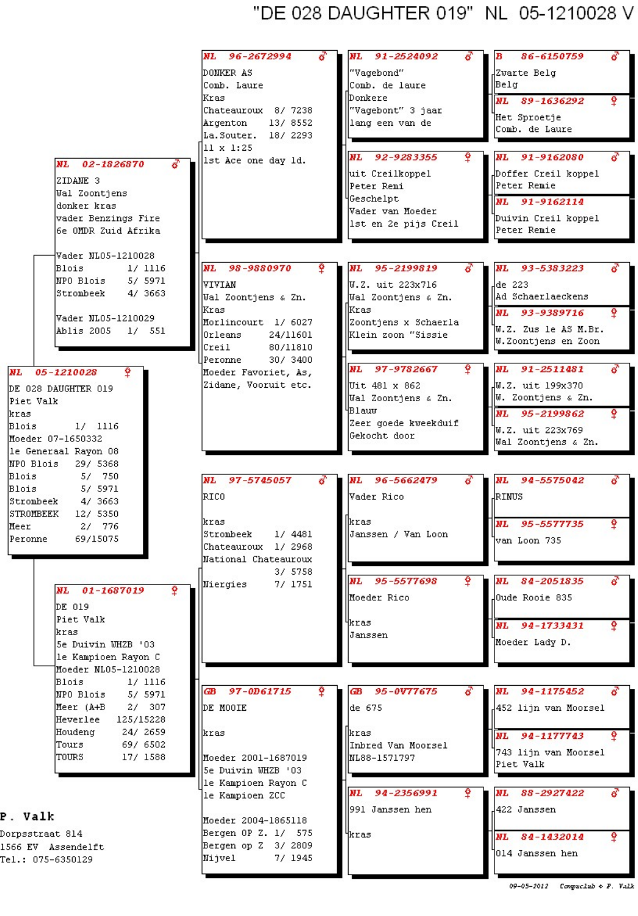## "DE 028 DAUGHTER 019" NL 05-1210028 V

|                        | 96-2672994<br><b>NL</b> | NL<br>91-2524092        | 86-6150759<br>в               |
|------------------------|-------------------------|-------------------------|-------------------------------|
|                        |                         |                         |                               |
|                        | DONKER AS               | "Vagebond"              | Zwarte Belg                   |
|                        | Comb. Laure             | Comb. de laure          | Belg                          |
|                        | Kras                    | <b>IDonkere</b>         | NL 89-1636292<br>Ŷ            |
|                        | Chateauroux 8/ 7238     | "Vagebont" 3 jaar       |                               |
|                        | 13/ 8552<br>Argenton    | lang een van de         | Het Sproetje                  |
|                        | La. Souter. 18/ 2293    |                         | Comb. de Laure                |
|                        | 11 x 1:25               |                         |                               |
|                        | 1st Ace one day 1d.     | NL 92-9283355           | 91-9162080<br>NL              |
| NL 02-1826870          |                         |                         |                               |
| ZIDANE <sub>3</sub>    |                         | uit Creilkoppel         | Doffer Creil koppel,          |
| Wal Zoontjens          |                         | Peter Remi              | Peter Remie                   |
| donker kras            |                         | 4Geschelpt              | NL 91-9162114                 |
|                        |                         | Vader van Moeder        |                               |
| vader Benzings Fire    |                         | 1st en 2e pijs Creil    | Duivin Creil koppel           |
| 6e OMDR Zuid Afrika    |                         |                         | Peter Remie                   |
|                        |                         |                         |                               |
| Vader NL05-1210028     |                         |                         |                               |
| <b>Blois</b><br>1/1116 | <b>NL</b><br>98-9880970 | NL.<br>95-2199819       | NL 93-5383223                 |
| NPO Blois<br>5/ 5971   | <b>VIVIAN</b>           |                         |                               |
| 4/ 3663<br>Strombeek   |                         | W.Z. uit 223x716        | de 223                        |
|                        | Wal Zoontjens & Zn.     | Wal Zoontjens & Zn.     | Ad Schaerlaeckens             |
|                        | Kras                    | Kras                    | NL 93-9389716<br>Ŷ            |
| Vader NL05-1210029     | Morlincourt 1/ 6027     | Zoontjens x Schaerla    |                               |
| Ablis 2005 1/ 551      | l0rleans<br>24/11601    | Klein zoon "Sissie      | W.Z. Zus le AS M.Br.          |
|                        | Creil<br>80/11810       |                         | W.Zoontjens en Zoon           |
|                        | 30/ 3400<br>Peronne     |                         |                               |
| NL<br>05-1210028       | Moeder Favoriet, As,    | <b>NL</b><br>97-9782667 | 91-2511481<br>NL              |
|                        |                         |                         |                               |
| DE 028 DAUGHTER 019    | Zidane, Vooruit etc.    | Uit 481 x 862           | √W.Z. uit 199x370             |
| Piet Valk              |                         | Wal Zoontjens & Zn.     | W. Zoontjens & Zn.            |
| kras                   |                         | HBlauw                  | NL 95-2199862<br>Ŷ            |
| Blois<br>1/1116        |                         | Zeer goede kweekduif    |                               |
| Moeder 07-1650332      |                         | Gekocht door            | W.Z. uit 223x769              |
|                        |                         |                         | Wal Zoontjens & Zn.           |
| le Generaal Rayon 08   |                         |                         |                               |
| NPO Blois<br>29/ 5368  |                         |                         |                               |
| Blois<br>5/ 750        | 97-5745057<br>NL        | NL 96-5662479           | NL 94-5575042                 |
| Blois<br>5/ 5971       |                         |                         |                               |
| Strombeek<br>4/ 3663   | RICO                    | Vader Rico              | RINUS                         |
| STROMBEEK<br>12/ 5350  |                         |                         |                               |
| Meer<br>2/ 776         | kras                    | kras                    | Ŷ<br><b>NL</b><br>95-5577735  |
| 69/15075<br>Peronne    | 1/4481<br>Strombeek     | Janssen / Van Loon      |                               |
|                        | Chateauroux 1/2968      |                         | van Loon 735                  |
|                        | National Chateauroux    |                         |                               |
|                        | 3/5758                  |                         |                               |
|                        | Niergies<br>7/ 1751     | NL 95-5577698           | 84-2051835<br>NL 1            |
| Ŷ<br>NL 01-1687019     |                         |                         |                               |
| DE 019                 |                         | Moeder Rico             | Oude Rooie 835                |
|                        |                         |                         |                               |
| Piet Valk              |                         | Hkras,                  | NL 94-1733431<br>Ŷ            |
| kras                   |                         | Janssen                 |                               |
| 5e Duivin WHZB '03     |                         |                         | Moeder Lady D.                |
| le Kampioen Rayon C    |                         |                         |                               |
| Moeder NL05-1210028    |                         |                         |                               |
| Blois<br>1/1116        |                         |                         |                               |
| NPO Blois<br>5/ 5971   | GB 97-0D61715           | 95-0V77675<br>ŒВ        | NL<br>94-1175452              |
| Meer (A+B<br>2/307     | DE MOOIE                | de 675                  | 452 lijn van Moorsel          |
| Heverlee<br>125/15228  |                         |                         |                               |
|                        |                         |                         |                               |
| Houdeng<br>24/ 2659    | kras                    | <b>Ikras</b>            | 94-1177743<br><b>NL</b><br>Ŷ. |
| Tours<br>69/ 6502      |                         | Inbred Van Moorsel      | 743 lijn van Moorsel          |
| TOURS<br>17/ 1588      | Moeder 2001-1687019     | ML88-1571797            | Piet Valk                     |
|                        | 5e Duivin WHZB '03      |                         |                               |
|                        | le Kampioen Rayon C     |                         |                               |
|                        | le Kampioen ZCC         | NL 94-2356991           | NL<br>88-2927422              |
|                        |                         | 991 Janssen hen         | 422 Janssen                   |
| . Valk                 | Moeder 2004-1865118     |                         |                               |
|                        | Bergen OP Z. 1/ 575     |                         |                               |
| rpsstraat 814          |                         | <b>'kras</b>            | Ŷ<br>NL 84-1432014            |
| 66 EV Assendelft       | Bergen op Z 3/ 2809     |                         | 1014 Janssen hen              |
| $1.: 075 - 6350129$    | Nijvel<br>7/ 1945       |                         |                               |
|                        |                         |                         |                               |
|                        |                         |                         |                               |

P

Do, 15 Te.

<sup>09-05-2012</sup> Compuclub & F. Valk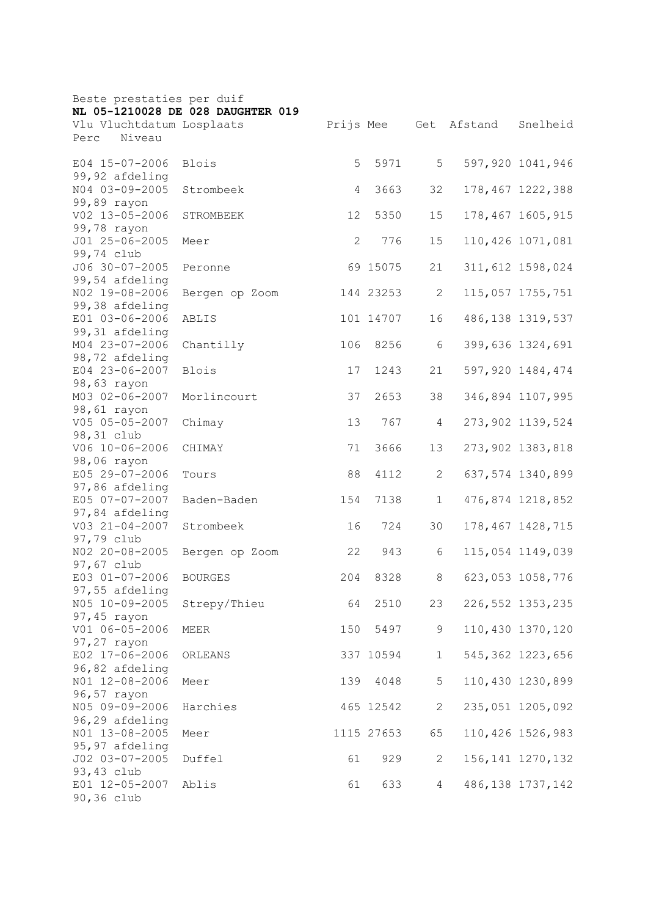|                                             | Beste prestaties per duif         |     |            |                |             |                    |  |  |  |
|---------------------------------------------|-----------------------------------|-----|------------|----------------|-------------|--------------------|--|--|--|
|                                             | NL 05-1210028 DE 028 DAUGHTER 019 |     |            |                |             |                    |  |  |  |
| Vlu Vluchtdatum Losplaats<br>Niveau<br>Perc |                                   |     | Prijs Mee  |                | Get Afstand | Snelheid           |  |  |  |
|                                             |                                   |     |            |                |             |                    |  |  |  |
| E04 15-07-2006                              | <b>Blois</b>                      | 5   | 5971       | 5              |             | 597,920 1041,946   |  |  |  |
| 99,92 afdeling                              |                                   |     |            |                |             |                    |  |  |  |
| N04 03-09-2005                              | Strombeek                         | 4   | 3663       | 32             |             | 178,467 1222,388   |  |  |  |
| 99,89 rayon                                 |                                   |     |            |                |             |                    |  |  |  |
| V02 13-05-2006                              | STROMBEEK                         | 12  | 5350       | 15             |             | 178,467 1605,915   |  |  |  |
| 99,78 rayon                                 |                                   |     |            |                |             |                    |  |  |  |
| J01 25-06-2005                              | Meer                              | 2   | 776        | 15             |             | 110,426 1071,081   |  |  |  |
| 99,74 club                                  |                                   |     |            |                |             |                    |  |  |  |
| J06 30-07-2005                              | Peronne                           |     | 69 15075   | 21             |             | 311,612 1598,024   |  |  |  |
| 99,54 afdeling                              |                                   |     |            |                |             |                    |  |  |  |
| NO2 19-08-2006                              | Bergen op Zoom                    |     | 144 23253  | $\mathbf{2}$   |             | 115,057 1755,751   |  |  |  |
| 99,38 afdeling                              |                                   |     |            |                |             |                    |  |  |  |
| E01 03-06-2006                              | ABLIS                             |     | 101 14707  | 16             |             | 486, 138 1319, 537 |  |  |  |
| 99,31 afdeling                              |                                   |     |            |                |             |                    |  |  |  |
| M04 23-07-2006                              | Chantilly                         | 106 | 8256       | 6              |             | 399,636 1324,691   |  |  |  |
| 98,72 afdeling                              |                                   |     |            |                |             |                    |  |  |  |
| E04 23-06-2007                              | <b>Blois</b>                      | 17  | 1243       | 21             |             | 597,920 1484,474   |  |  |  |
| 98,63 rayon                                 |                                   |     |            |                |             |                    |  |  |  |
| M03 02-06-2007                              | Morlincourt                       | 37  | 2653       | 38             |             | 346,894 1107,995   |  |  |  |
| 98,61 rayon<br>V05 05-05-2007               |                                   |     | 767        |                |             | 273,902 1139,524   |  |  |  |
| 98,31 club                                  | Chimay                            | 13  |            | 4              |             |                    |  |  |  |
| V06 10-06-2006                              | CHIMAY                            | 71  | 3666       | 13             |             | 273,902 1383,818   |  |  |  |
| 98,06 rayon                                 |                                   |     |            |                |             |                    |  |  |  |
| E05 29-07-2006                              | Tours                             | 88  | 4112       | 2              |             | 637,574 1340,899   |  |  |  |
| 97,86 afdeling                              |                                   |     |            |                |             |                    |  |  |  |
| E05 07-07-2007                              | Baden-Baden                       | 154 | 7138       | $\mathbf 1$    |             | 476,874 1218,852   |  |  |  |
| 97,84 afdeling                              |                                   |     |            |                |             |                    |  |  |  |
| $V03 21 - 04 - 2007$                        | Strombeek                         | 16  | 724        | 30             |             | 178, 467 1428, 715 |  |  |  |
| 97,79 club                                  |                                   |     |            |                |             |                    |  |  |  |
| NO2 20-08-2005                              | Bergen op Zoom                    | 22  | 943        | 6              |             | 115,054 1149,039   |  |  |  |
| 97,67 club                                  |                                   |     |            |                |             |                    |  |  |  |
| E03 01-07-2006                              | <b>BOURGES</b>                    | 204 | 8328       | 8              |             | 623,053 1058,776   |  |  |  |
| 97,55 afdeling                              |                                   |     |            |                |             |                    |  |  |  |
| N05 10-09-2005                              | Strepy/Thieu                      | 64  | 2510       | 23             |             | 226, 552 1353, 235 |  |  |  |
| 97,45 rayon                                 |                                   |     |            |                |             |                    |  |  |  |
| V01 06-05-2006                              | MEER                              | 150 | 5497       | 9              |             | 110,430 1370,120   |  |  |  |
| 97,27 rayon                                 |                                   |     |            |                |             |                    |  |  |  |
| E02 17-06-2006                              | ORLEANS                           |     | 337 10594  | $\mathbf 1$    |             | 545, 362 1223, 656 |  |  |  |
| 96,82 afdeling                              |                                   |     |            |                |             |                    |  |  |  |
| NO1 12-08-2006                              | Meer                              | 139 | 4048       | 5              |             | 110,430 1230,899   |  |  |  |
| 96,57 rayon                                 |                                   |     |            |                |             |                    |  |  |  |
| N05 09-09-2006                              | Harchies                          |     | 465 12542  | $\overline{2}$ |             | 235,051 1205,092   |  |  |  |
| 96,29 afdeling<br>NO1 13-08-2005            |                                   |     |            |                |             |                    |  |  |  |
|                                             | Meer                              |     | 1115 27653 | 65             |             | 110,426 1526,983   |  |  |  |
| 95,97 afdeling<br>J02 03-07-2005            | Duffel                            | 61  | 929        | $\mathbf{2}$   |             | 156, 141 1270, 132 |  |  |  |
| 93,43 club                                  |                                   |     |            |                |             |                    |  |  |  |
| E01 12-05-2007                              | Ablis                             | 61  | 633        | $\overline{4}$ |             | 486, 138 1737, 142 |  |  |  |
| 90,36 club                                  |                                   |     |            |                |             |                    |  |  |  |